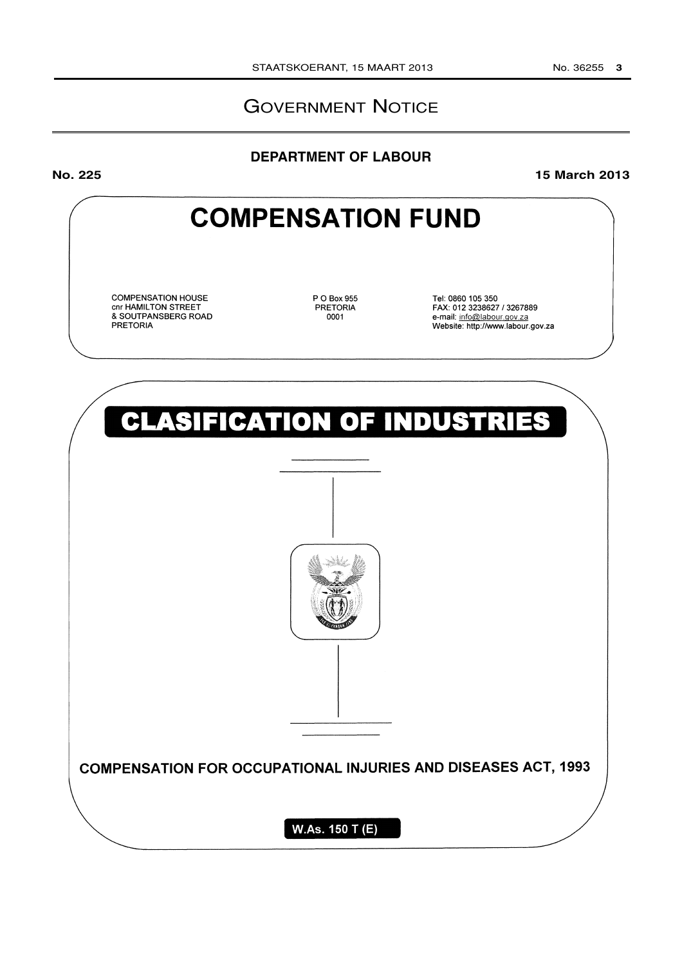## GOVERNMENT NOTICE

## **DEPARTMENT OF LABOUR**

**No. 225 15 March 2013**